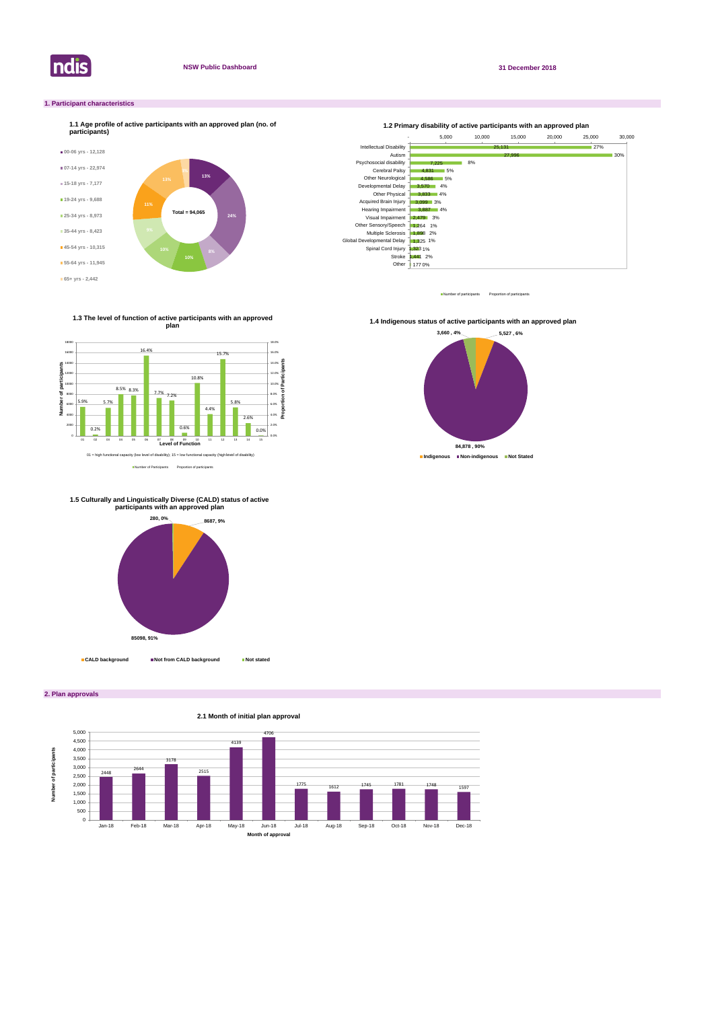

**2. Plan approvals**

# **1. Participant characteristics**



Number of participants Proportion of participant

**2.1 Month of initial plan approval**



Number of Participants Proportion of participants

**1.3 The level of function of active participants with an approved plan**



**1.4 Indigenous status of active participants with an approved plan** 





# **1.5 Culturally and Linguistically Diverse (CALD) status of active participants with an approved plan**

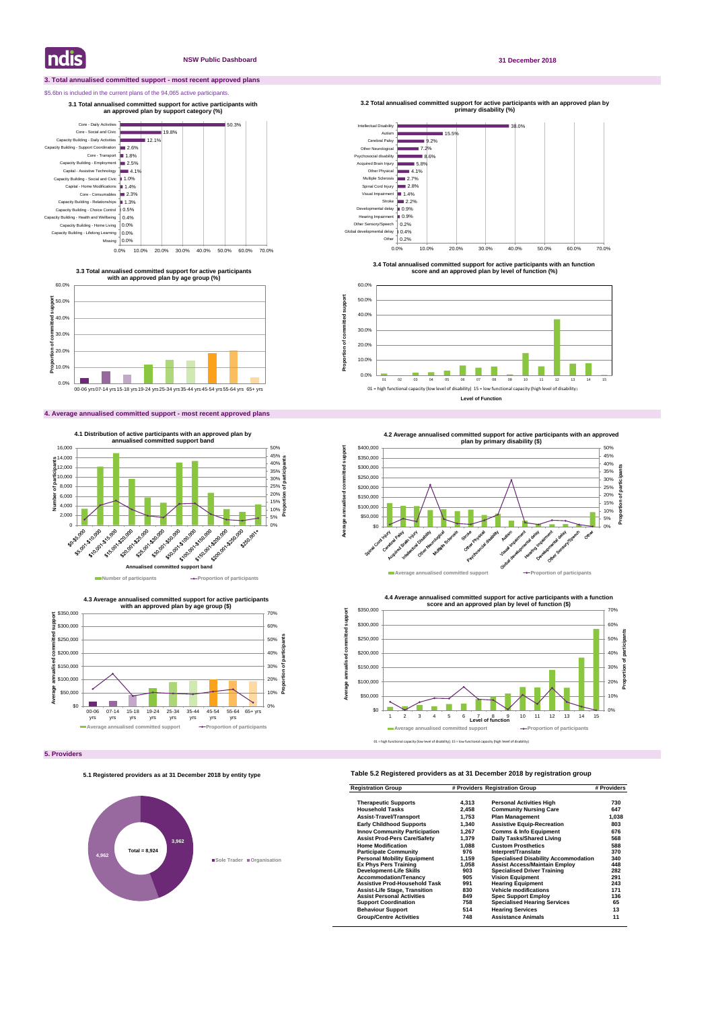# **3. Total annualised committed support - most recent approved plans**

# \$5.6bn is included in the current plans of the 94,065 active participants.

# **4. Average annualised committed support - most recent approved plans**

# **Table 5.2 Registered providers as at 31 December 2018 by registration group**

| <b>Registration Group</b>            | # Providers Registration Group |                                             | # Providers |
|--------------------------------------|--------------------------------|---------------------------------------------|-------------|
| <b>Therapeutic Supports</b>          | 4,313                          | <b>Personal Activities High</b>             | 730         |
| <b>Household Tasks</b>               | 2,458                          | <b>Community Nursing Care</b>               | 647         |
| <b>Assist-Travel/Transport</b>       | 1,753                          | <b>Plan Management</b>                      | 1,038       |
| <b>Early Childhood Supports</b>      | 1,340                          | <b>Assistive Equip-Recreation</b>           | 803         |
| <b>Innov Community Participation</b> | 1,267                          | <b>Comms &amp; Info Equipment</b>           | 676         |
| <b>Assist Prod-Pers Care/Safety</b>  | 1,379                          | Daily Tasks/Shared Living                   | 568         |
| <b>Home Modification</b>             | 1.088                          | <b>Custom Prosthetics</b>                   | 588         |
| <b>Participate Community</b>         | 976                            | Interpret/Translate                         | 370         |
| <b>Personal Mobility Equipment</b>   | 1.159                          | <b>Specialised Disability Accommodation</b> | 340         |
| <b>Ex Phys Pers Training</b>         | 1.058                          | <b>Assist Access/Maintain Employ</b>        | 448         |
| <b>Development-Life Skills</b>       | 903                            | <b>Specialised Driver Training</b>          | 282         |
| <b>Accommodation/Tenancy</b>         | 905                            | <b>Vision Equipment</b>                     | 291         |
| <b>Assistive Prod-Household Task</b> | 991                            | <b>Hearing Equipment</b>                    | 243         |
| <b>Assist-Life Stage, Transition</b> | 830                            | <b>Vehicle modifications</b>                | 171         |
| <b>Assist Personal Activities</b>    | 849                            | <b>Spec Support Employ</b>                  | 136         |
| <b>Support Coordination</b>          | 758                            | <b>Specialised Hearing Services</b>         | 65          |
| <b>Behaviour Support</b>             | 514                            | <b>Hearing Services</b>                     | 13          |
| <b>Group/Centre Activities</b>       | 748                            | <b>Assistance Animals</b>                   | 11          |

**Indis** 

# **NSW Public Dashboard 31 December 2018**





**3.3 Total annualised committed support for active participants with an approved plan by age group (%)**

**3.1 Total annualised committed support for active participants with an approved plan by support category (%)** 



**4.3 Average annualised committed support for active participants** 



**3.4 Total annualised committed support for active participants with an function score and an approved plan by level of function (%)**

**3.2 Total annualised committed support for active participants with an approved plan by primary disability (%)** 

**Proportion of committed support**

Proportion of committed

support



# **5.1 Registered providers as at 31 December 2018 by entity type**

# **3,962 4,962 Sole Trader Organisation Total = 8,924**

**Level of Function**







**Average annualised committed support**

annualised

Average a

ā

imitted support

<sup>01</sup> = high functional capacity (low level of disability); 15 = low functional capacity (high level of disability)

**<sup>4.2</sup> Average annualised committed support for active participants with an approved**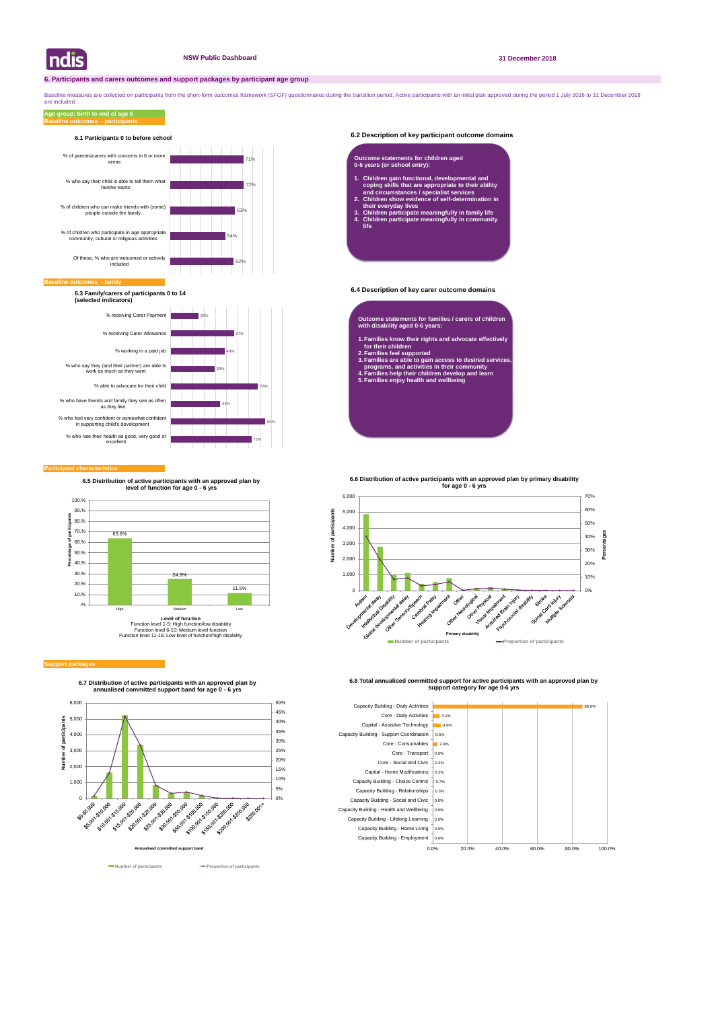# **6.2 Description of key participant outcome domains**

# **6.4 Description of key carer outcome domains**

## **Participant characteristics**

Baseline measures are collected on participants from the short-form outcomes framework (SFOF) questionnaires during the transition period. Active participants with an initial plan approved during the period 1 July 2016 to are included.

# **Baseline outcomes - participants Age group: birth to end of age 6**





**6.7 Distribution of active participants with an approved plan by annualised committed support band for age 0 - 6 yrs**





**6.8 Total annualised committed support for active participants with an approved plan by support category for age 0-6 yrs** 



## **Baseline of**



# **6.1 Participants 0 to before school**

**6.3 Family/carers of participants 0 to 14 (selected indicators)**

- **Outcome statements for families / carers of children with disability aged 0-6 years:**
- **1. Families know their rights and advocate effectively for their children**
- **2. Families feel supported**
- **3. Families are able to gain access to desired services, programs, and activities in their community**
- **4. Families help their children develop and learn 5. Families enjoy health and wellbeing**

# **Outcome statements for children aged 0-6 years (or school entry):**

- **1. Children gain functional, developmental and coping skills that are appropriate to their ability and circumstances / specialist services**
- **2. Children show evidence of self-determination in their everyday lives**
- **3. Children participate meaningfully in family life 4. Children participate meaningfully in community life**



### **Support package**

**6.5 Distribution of active participants with an approved plan by level of function for age 0 - 6 yrs**



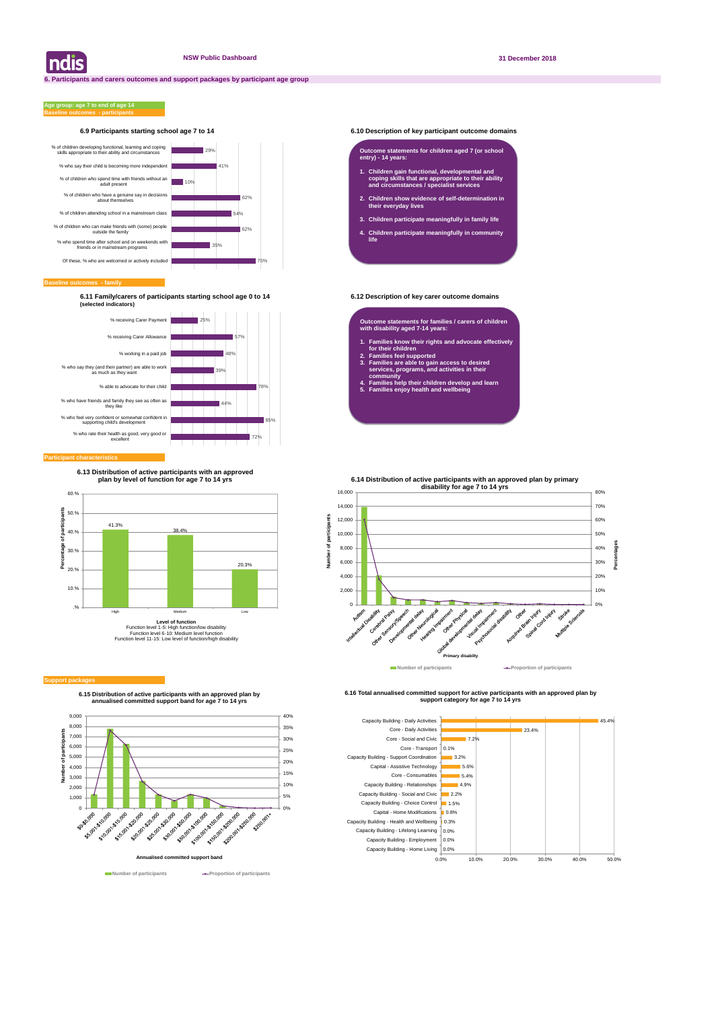# **6.9 Participants starting school age 7 to 14 6.10 Description of key participant outcome domains**

**Baseline outcomes - family**

# **Baseline outcomes - participants Age group: age 7 to end of age 14**

**6.11 Family/carers of participants starting school age 0 to 14 6.12 Description of key carer outcome domains (selected indicators)**

| ndis



**6.15 Distribution of active participants with an approved plan by annualised committed support band for age 7 to 14 yrs**



**Number of participants Proportion of participants** 

**6.16 Total annualised committed support for active participants with an approved plan by support category for age 7 to 14 yrs** 





# **Participant characteristic**

### **Outcome statements for children aged 7 (or school entry) - 14 years:**

- **1. Children gain functional, developmental and coping skills that are appropriate to their ability and circumstances / specialist services**
- **2. Children show evidence of self-determination in their everyday lives**
- **3. Children participate meaningfully in family life**
- **4. Children participate meaningfully in community life**

**Outcome statements for families / carers of children with disability aged 7-14 years:**

- **1. Families know their rights and advocate effectively for their children**
- **2. Families feel supported**

ť

- **3. Families are able to gain access to desired services, programs, and activities in their community**
- **4. Families help their children develop and learn**
- **5. Families enjoy health and wellbeing**



### **Support packa**

**6.13 Distribution of active participants with an approved plan by level of function for age 7 to 14 yrs**

# **6.14 Distribution of active participants with an approved plan by primary**

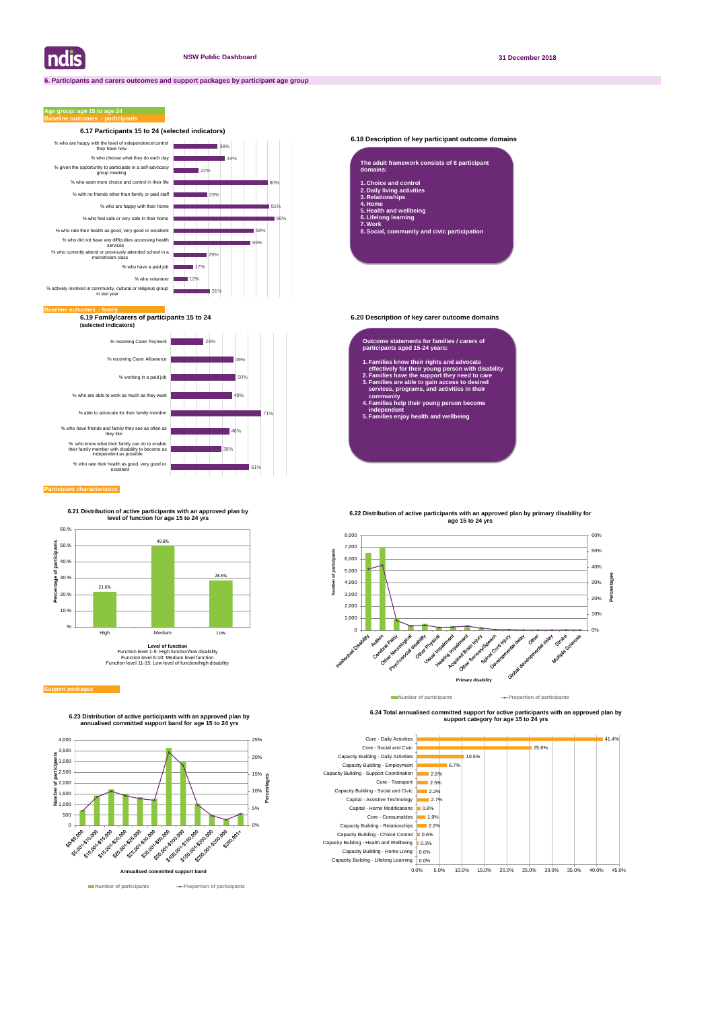# **6.18 Description of key participant outcome domains**

**6.19 Family/carers of participants 15 to 24 6.20 Description of key carer outcome domains (selected indicators)**

# **Participant characteristics**

# **Age group: age 15 to age 24**



**6.24 Total annualised committed support for active participants with an approved plan by support category for age 15 to 24 yrs** 





| The adult framework consists of 8 participant<br>domains: |
|-----------------------------------------------------------|
| 1. Choice and control                                     |
| 2. Daily living activities                                |
| 3. Relationships                                          |
| 4. Home                                                   |
| 5. Health and wellbeing                                   |
| 6. Lifelong learning                                      |
| 7. Work                                                   |

**8. Social, community and civic participation**

### **Outcome statements for families / carers of participants aged 15-24 years:**

- **1. Families know their rights and advocate effectively for their young person with disability**
- **2. Families have the support they need to care 3. Families are able to gain access to desired services, programs, and activities in their**
- **community 4. Families help their young person become independent**
- **5. Families enjoy health and wellbeing**





**6.23 Distribution of active participants with an approved plan by annualised committed support band for age 15 to 24 yrs**

**6.21 Distribution of active participants with an approved plan by level of function for age 15 to 24 yrs**



**Level of function** Function level 1-5: High function/low disability Function level 6-10: Medium level function Function level 11-15: Low level of function/high disability

### **Support package**



**Number of participants Proportion of participants**